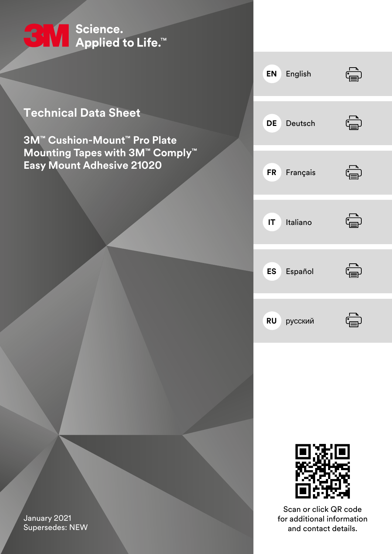

# **Technical Data Sheet**

**3M™ Cushion-Mount™ Pro Plate Mounting Tapes with 3M™ Comply™ Easy Mount Adhesive 21020**





Scan or click QR code for additional information and contact details.

January 2021 Supersedes: NEW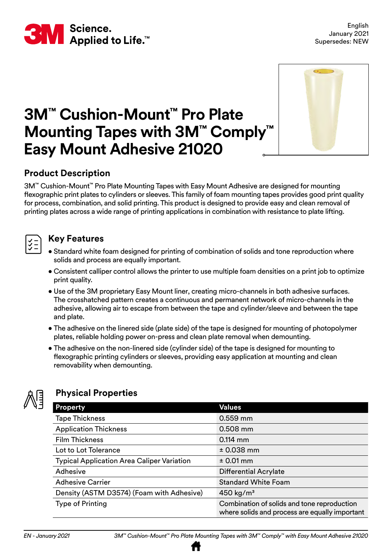

# **™ Mounting Tapes with 3M™ Comply 3M™ Cushion-Mount™ Pro Plate Easy Mount Adhesive 21020**



# **Product Description**

3M™ Cushion-Mount™ Pro Plate Mounting Tapes with Easy Mount Adhesive are designed for mounting flexographic print plates to cylinders or sleeves. This family of foam mounting tapes provides good print quality for process, combination, and solid printing. This product is designed to provide easy and clean removal of printing plates across a wide range of printing applications in combination with resistance to plate lifting.

#### **Key Features**

- Standard white foam designed for printing of combination of solids and tone reproduction where solids and process are equally important.
- Consistent calliper control allows the printer to use multiple foam densities on a print job to optimize print quality.
- Use of the 3M proprietary Easy Mount liner, creating micro-channels in both adhesive surfaces. The crosshatched pattern creates a continuous and permanent network of micro-channels in the adhesive, allowing air to escape from between the tape and cylinder/sleeve and between the tape and plate.
- The adhesive on the linered side (plate side) of the tape is designed for mounting of photopolymer plates, reliable holding power on-press and clean plate removal when demounting.
- The adhesive on the non-linered side (cylinder side) of the tape is designed for mounting to flexographic printing cylinders or sleeves, providing easy application at mounting and clean removability when demounting.



# **Physical Properties**

| <b>Property</b>                                   | <b>Values</b>                                                                                 |
|---------------------------------------------------|-----------------------------------------------------------------------------------------------|
| <b>Tape Thickness</b>                             | 0.559 mm                                                                                      |
| <b>Application Thickness</b>                      | 0.508 mm                                                                                      |
| <b>Film Thickness</b>                             | $0.114$ mm                                                                                    |
| Lot to Lot Tolerance                              | $± 0.038$ mm                                                                                  |
| <b>Typical Application Area Caliper Variation</b> | $± 0.01$ mm                                                                                   |
| Adhesive                                          | <b>Differential Acrylate</b>                                                                  |
| <b>Adhesive Carrier</b>                           | <b>Standard White Foam</b>                                                                    |
| Density (ASTM D3574) (Foam with Adhesive)         | 450 kg/ $m3$                                                                                  |
| Type of Printing                                  | Combination of solids and tone reproduction<br>where solids and process are equally important |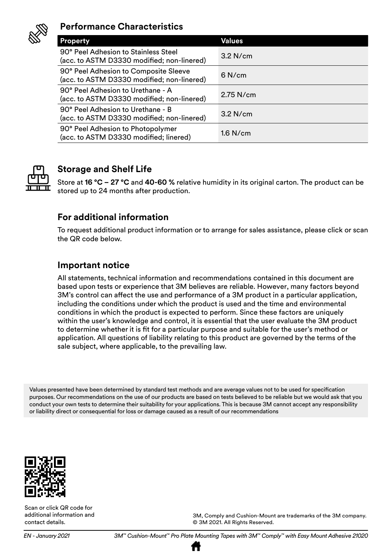

#### **Performance Characteristics**

| <b>Property</b>                                                                     | Values      |
|-------------------------------------------------------------------------------------|-------------|
| 90° Peel Adhesion to Stainless Steel<br>(acc. to ASTM D3330 modified; non-linered)  | $3.2$ N/cm  |
| 90° Peel Adhesion to Composite Sleeve<br>(acc. to ASTM D3330 modified; non-linered) | $6$ N/cm    |
| 90° Peel Adhesion to Urethane - A<br>(acc. to ASTM D3330 modified; non-linered)     | $2.75$ N/cm |
| 90° Peel Adhesion to Urethane - B<br>(acc. to ASTM D3330 modified; non-linered)     | $3.2$ N/cm  |
| 90° Peel Adhesion to Photopolymer<br>(acc. to ASTM D3330 modified; linered)         | $1.6$ N/cm  |



# **Storage and Shelf Life**

Store at **16 °C – 27 °C** and **40-60 %** relative humidity in its original carton. The product can be stored up to 24 months after production.

### **For additional information**

To request additional product information or to arrange for sales assistance, please click or scan the QR code below.

#### **Important notice**

All statements, technical information and recommendations contained in this document are based upon tests or experience that 3M believes are reliable. However, many factors beyond 3M's control can affect the use and performance of a 3M product in a particular application, including the conditions under which the product is used and the time and environmental conditions in which the product is expected to perform. Since these factors are uniquely within the user's knowledge and control, it is essential that the user evaluate the 3M product to determine whether it is fit for a particular purpose and suitable for the user's method or application. All questions of liability relating to this product are governed by the terms of the sale subject, where applicable, to the prevailing law.

Values presented have been determined by standard test methods and are average values not to be used for specification purposes. Our recommendations on the use of our products are based on tests believed to be reliable but we would ask that you conduct your own tests to determine their suitability for your applications. This is because 3M cannot accept any responsibility or liability direct or consequential for loss or damage caused as a result of our recommendations



Scan or click QR code for additional information and contact details.

3M, Comply and Cushion-Mount are trademarks of the 3M company. © 3M 2021. All Rights Reserved.

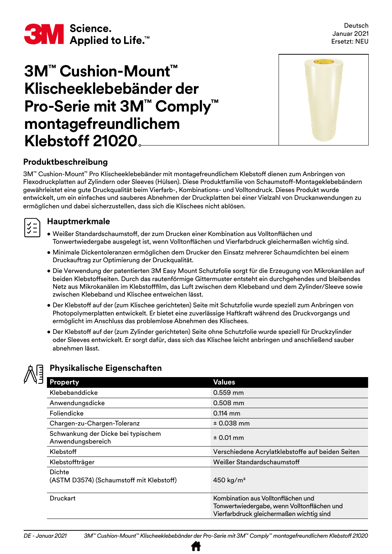

# **3M™ Cushion-Mount™ Klischeeklebebänder der Pro-Serie mit 3M™ Comply™ montagefreundlichem Klebstoff 21020**



#### **Produktbeschreibung**

3M™ Cushion-Mount™ Pro Klischeeklebebänder mit montagefreundlichem Klebstoff dienen zum Anbringen von Flexodruckplatten auf Zylindern oder Sleeves (Hülsen). Diese Produktfamilie von Schaumstoff-Montageklebebändern gewährleistet eine gute Druckqualität beim Vierfarb-, Kombinations- und Volltondruck. Dieses Produkt wurde entwickelt, um ein einfaches und sauberes Abnehmen der Druckplatten bei einer Vielzahl von Druckanwendungen zu ermöglichen und dabei sicherzustellen, dass sich die Klischees nicht ablösen.

#### **Hauptmerkmale**

- Weißer Standardschaumstoff, der zum Drucken einer Kombination aus Volltonflächen und Tonwertwiedergabe ausgelegt ist, wenn Volltonflächen und Vierfarbdruck gleichermaßen wichtig sind.
- Minimale Dickentoleranzen ermöglichen dem Drucker den Einsatz mehrerer Schaumdichten bei einem Druckauftrag zur Optimierung der Druckqualität.
- Die Verwendung der patentierten 3M Easy Mount Schutzfolie sorgt für die Erzeugung von Mikrokanälen auf beiden Klebstoffseiten. Durch das rautenförmige Gittermuster entsteht ein durchgehendes und bleibendes Netz aus Mikrokanälen im Klebstofffilm, das Luft zwischen dem Klebeband und dem Zylinder/Sleeve sowie zwischen Klebeband und Klischee entweichen lässt.
- Der Klebstoff auf der (zum Klischee gerichteten) Seite mit Schutzfolie wurde speziell zum Anbringen von Photopolymerplatten entwickelt. Er bietet eine zuverlässige Haftkraft während des Druckvorgangs und ermöglicht im Anschluss das problemlose Abnehmen des Klischees.
- Der Klebstoff auf der (zum Zylinder gerichteten) Seite ohne Schutzfolie wurde speziell für Druckzylinder oder Sleeves entwickelt. Er sorgt dafür, dass sich das Klischee leicht anbringen und anschließend sauber abnehmen lässt.



#### **Physikalische Eigenschaften**

| Property                                                | <b>Values</b>                                                                                                                |
|---------------------------------------------------------|------------------------------------------------------------------------------------------------------------------------------|
| Klebebanddicke                                          | 0.559 mm                                                                                                                     |
| Anwendungsdicke                                         | $0.508$ mm                                                                                                                   |
| Foliendicke                                             | $0.114$ mm                                                                                                                   |
| Chargen-zu-Chargen-Toleranz                             | $± 0.038$ mm                                                                                                                 |
| Schwankung der Dicke bei typischem<br>Anwendungsbereich | $± 0.01$ mm                                                                                                                  |
| Klebstoff                                               | Verschiedene Acrylatklebstoffe auf beiden Seiten                                                                             |
| Klebstoffträger                                         | Weißer Standardschaumstoff                                                                                                   |
| Dichte<br>(ASTM D3574) (Schaumstoff mit Klebstoff)      | 450 kg/ $m3$                                                                                                                 |
| <b>Druckart</b>                                         | Kombination aus Volltonflächen und<br>Tonwertwiedergabe, wenn Volltonflächen und<br>Vierfarbdruck gleichermaßen wichtig sind |

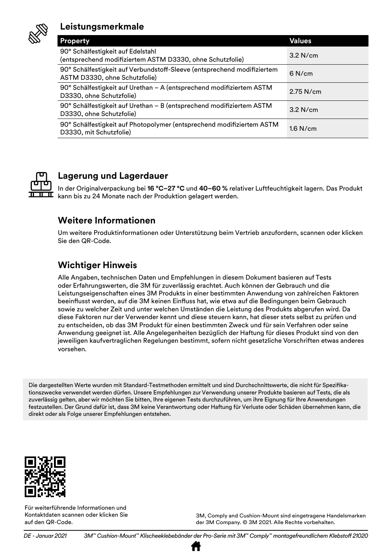

# **Leistungsmerkmale**

| <b>Property</b>                                                                                          | <b>Values</b> |
|----------------------------------------------------------------------------------------------------------|---------------|
| 90° Schälfestigkeit auf Edelstahl<br>(entsprechend modifiziertem ASTM D3330, ohne Schutzfolie)           | $3.2$ N/cm    |
| 90° Schälfestigkeit auf Verbundstoff-Sleeve (entsprechend modifiziertem<br>ASTM D3330, ohne Schutzfolie) | $6$ N/cm      |
| 90° Schälfestigkeit auf Urethan - A (entsprechend modifiziertem ASTM<br>D3330, ohne Schutzfolie)         | 2.75 N/cm     |
| 90° Schälfestigkeit auf Urethan - B (entsprechend modifiziertem ASTM<br>D3330, ohne Schutzfolie)         | $3.2$ N/cm    |
| 90° Schälfestigkeit auf Photopolymer (entsprechend modifiziertem ASTM<br>D3330, mit Schutzfolie)         | $1.6$ N/cm    |



# **Lagerung und Lagerdauer**

In der Originalverpackung bei **16 °C–27 °C** und **40–60 %** relativer Luftfeuchtigkeit lagern. Das Produkt kann bis zu 24 Monate nach der Produktion gelagert werden.

### **Weitere Informationen**

Um weitere Produktinformationen oder Unterstützung beim Vertrieb anzufordern, scannen oder klicken Sie den QR-Code.

# **Wichtiger Hinweis**

Alle Angaben, technischen Daten und Empfehlungen in diesem Dokument basieren auf Tests oder Erfahrungswerten, die 3M für zuverlässig erachtet. Auch können der Gebrauch und die Leistungseigenschaften eines 3M Produkts in einer bestimmten Anwendung von zahlreichen Faktoren beeinflusst werden, auf die 3M keinen Einfluss hat, wie etwa auf die Bedingungen beim Gebrauch sowie zu welcher Zeit und unter welchen Umständen die Leistung des Produkts abgerufen wird. Da diese Faktoren nur der Verwender kennt und diese steuern kann, hat dieser stets selbst zu prüfen und zu entscheiden, ob das 3M Produkt für einen bestimmten Zweck und für sein Verfahren oder seine Anwendung geeignet ist. Alle Angelegenheiten bezüglich der Haftung für dieses Produkt sind von den jeweiligen kaufvertraglichen Regelungen bestimmt, sofern nicht gesetzliche Vorschriften etwas anderes vorsehen.

Die dargestellten Werte wurden mit Standard-Testmethoden ermittelt und sind Durchschnittswerte, die nicht für Spezifikationszwecke verwendet werden dürfen. Unsere Empfehlungen zur Verwendung unserer Produkte basieren auf Tests, die als zuverlässig gelten, aber wir möchten Sie bitten, Ihre eigenen Tests durchzuführen, um ihre Eignung für Ihre Anwendungen festzustellen. Der Grund dafür ist, dass 3M keine Verantwortung oder Haftung für Verluste oder Schäden übernehmen kann, die direkt oder als Folge unserer Empfehlungen entstehen.



Für weiterführende Informationen und Kontaktdaten scannen oder klicken Sie auf den QR-Code.

3M, Comply and Cushion-Mount sind eingetragene Handelsmarken der 3M Company. © 3M 2021. Alle Rechte vorbehalten.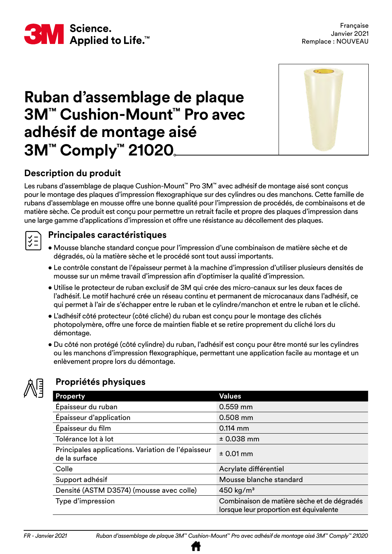

# **Ruban d'assemblage de plaque 3M™ Cushion-Mount™ Pro avec adhésif de montage aisé 3M™ Comply™ 21020**



# **Description du produit**

Les rubans d'assemblage de plaque Cushion-Mount™ Pro 3M™ avec adhésif de montage aisé sont conçus pour le montage des plaques d'impression flexographique sur des cylindres ou des manchons. Cette famille de rubans d'assemblage en mousse offre une bonne qualité pour l'impression de procédés, de combinaisons et de matière sèche. Ce produit est conçu pour permettre un retrait facile et propre des plaques d'impression dans une large gamme d'applications d'impression et offre une résistance au décollement des plaques.

### **Principales caractéristiques**

- Mousse blanche standard conçue pour l'impression d'une combinaison de matière sèche et de dégradés, où la matière sèche et le procédé sont tout aussi importants.
- Le contrôle constant de l'épaisseur permet à la machine d'impression d'utiliser plusieurs densités de mousse sur un même travail d'impression afin d'optimiser la qualité d'impression.
- Utilise le protecteur de ruban exclusif de 3M qui crée des micro-canaux sur les deux faces de l'adhésif. Le motif hachuré crée un réseau continu et permanent de microcanaux dans l'adhésif, ce qui permet à l'air de s'échapper entre le ruban et le cylindre/manchon et entre le ruban et le cliché.
- L'adhésif côté protecteur (côté cliché) du ruban est conçu pour le montage des clichés photopolymère, offre une force de maintien fiable et se retire proprement du cliché lors du démontage.
- Du côté non protégé (côté cylindre) du ruban, l'adhésif est conçu pour être monté sur les cylindres ou les manchons d'impression flexographique, permettant une application facile au montage et un enlèvement propre lors du démontage.



 $rac{1}{2}$ 

# **Propriétés physiques**

| Property                                                            | <b>Values</b>                                                                          |
|---------------------------------------------------------------------|----------------------------------------------------------------------------------------|
| Épaisseur du ruban                                                  | 0.559 mm                                                                               |
| Épaisseur d'application                                             | 0.508 mm                                                                               |
| Épaisseur du film                                                   | $0.114$ mm                                                                             |
| Tolérance lot à lot                                                 | $± 0.038$ mm                                                                           |
| Principales applications. Variation de l'épaisseur<br>de la surface | $± 0.01$ mm                                                                            |
| Colle                                                               | Acrylate différentiel                                                                  |
| Support adhésif                                                     | Mousse blanche standard                                                                |
| Densité (ASTM D3574) (mousse avec colle)                            | 450 kg/ $m3$                                                                           |
| Type d'impression                                                   | Combinaison de matière sèche et de dégradés<br>lorsque leur proportion est équivalente |

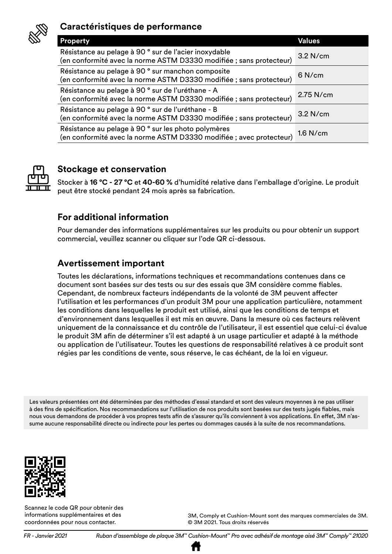

# **Caractéristiques de performance**

| <b>Property</b>                                                                                                             | Values      |
|-----------------------------------------------------------------------------------------------------------------------------|-------------|
| Résistance au pelage à 90° sur de l'acier inoxydable<br>(en conformité avec la norme ASTM D3330 modifiée ; sans protecteur) | $3.2$ N/cm  |
| Résistance au pelage à 90° sur manchon composite<br>(en conformité avec la norme ASTM D3330 modifiée ; sans protecteur)     | 6 N/cm      |
| Résistance au pelage à 90 ° sur de l'uréthane - A<br>(en conformité avec la norme ASTM D3330 modifiée ; sans protecteur)    | $2.75$ N/cm |
| Résistance au pelage à 90 ° sur de l'uréthane - B<br>(en conformité avec la norme ASTM D3330 modifiée ; sans protecteur)    | $3.2$ N/cm  |
| Résistance au pelage à 90° sur les photo polymères<br>(en conformité avec la norme ASTM D3330 modifiée ; avec protecteur)   | $1.6$ N/cm  |



# **Stockage et conservation**

Stocker à **16 °C - 27 °C** et **40-60 %** d'humidité relative dans l'emballage d'origine. Le produit peut être stocké pendant 24 mois après sa fabrication.

### **For additional information**

Pour demander des informations supplémentaires sur les produits ou pour obtenir un support commercial, veuillez scanner ou cliquer sur l'ode QR ci-dessous.

#### **Avertissement important**

Toutes les déclarations, informations techniques et recommandations contenues dans ce document sont basées sur des tests ou sur des essais que 3M considère comme fiables. Cependant, de nombreux facteurs indépendants de la volonté de 3M peuvent affecter l'utilisation et les performances d'un produit 3M pour une application particulière, notamment les conditions dans lesquelles le produit est utilisé, ainsi que les conditions de temps et d'environnement dans lesquelles il est mis en œuvre. Dans la mesure où ces facteurs relèvent uniquement de la connaissance et du contrôle de l'utilisateur, il est essentiel que celui-ci évalue le produit 3M afin de déterminer s'il est adapté à un usage particulier et adapté à la méthode ou application de l'utilisateur. Toutes les questions de responsabilité relatives à ce produit sont régies par les conditions de vente, sous réserve, le cas échéant, de la loi en vigueur.

Les valeurs présentées ont été déterminées par des méthodes d'essai standard et sont des valeurs moyennes à ne pas utiliser à des fins de spécification. Nos recommandations sur l'utilisation de nos produits sont basées sur des tests jugés fiables, mais nous vous demandons de procéder à vos propres tests afin de s'assurer qu'ils conviennent à vos applications. En effet, 3M n'assume aucune responsabilité directe ou indirecte pour les pertes ou dommages causés à la suite de nos recommandations.



Scannez le code QR pour obtenir des informations supplémentaires et des coordonnées pour nous contacter.

© 3M 2021. Tous droits réservés

3M, Comply et Cushion-Mount sont des marques commerciales de 3M.

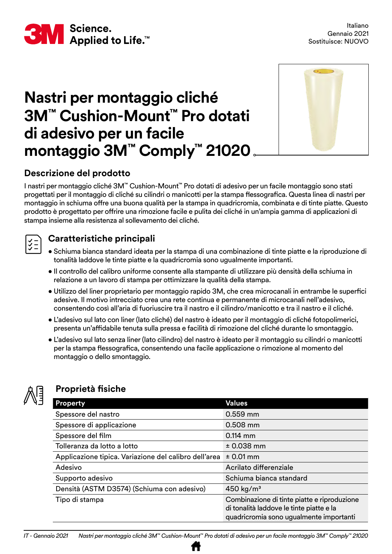

# **Nastri per montaggio cliché 3M™ Cushion-Mount™ Pro dotati di adesivo per un facile montaggio 3M™ Comply™ 21020**



# **Descrizione del prodotto**

I nastri per montaggio cliché 3M™ Cushion-Mount™ Pro dotati di adesivo per un facile montaggio sono stati progettati per il montaggio di cliché su cilindri o manicotti per la stampa flessografica. Questa linea di nastri per montaggio in schiuma offre una buona qualità per la stampa in quadricromia, combinata e di tinte piatte. Questo prodotto è progettato per offrire una rimozione facile e pulita dei cliché in un'ampia gamma di applicazioni di stampa insieme alla resistenza al sollevamento dei cliché.

# **Caratteristiche principali**

- Schiuma bianca standard ideata per la stampa di una combinazione di tinte piatte e la riproduzione di tonalità laddove le tinte piatte e la quadricromia sono ugualmente importanti.
- Il controllo del calibro uniforme consente alla stampante di utilizzare più densità della schiuma in relazione a un lavoro di stampa per ottimizzare la qualità della stampa.
- Utilizzo del liner proprietario per montaggio rapido 3M, che crea microcanali in entrambe le superfici adesive. Il motivo intrecciato crea una rete continua e permanente di microcanali nell'adesivo, consentendo così all'aria di fuoriuscire tra il nastro e il cilindro/manicotto e tra il nastro e il cliché.
- L'adesivo sul lato con liner (lato cliché) del nastro è ideato per il montaggio di cliché fotopolimerici, presenta un'affidabile tenuta sulla pressa e facilità di rimozione del cliché durante lo smontaggio.
- L'adesivo sul lato senza liner (lato cilindro) del nastro è ideato per il montaggio su cilindri o manicotti per la stampa flessografica, consentendo una facile applicazione o rimozione al momento del montaggio o dello smontaggio.



# **Proprietà fisiche**

| <b>Property</b>                                       | <b>Values</b>                                                                                                                      |
|-------------------------------------------------------|------------------------------------------------------------------------------------------------------------------------------------|
| Spessore del nastro                                   | 0.559 mm                                                                                                                           |
| Spessore di applicazione                              | $0.508$ mm                                                                                                                         |
| Spessore del film                                     | $0.114$ mm                                                                                                                         |
| Tolleranza da lotto a lotto                           | $± 0.038$ mm                                                                                                                       |
| Applicazione tipica. Variazione del calibro dell'area | $± 0.01$ mm                                                                                                                        |
| Adesivo                                               | Acrilato differenziale                                                                                                             |
| Supporto adesivo                                      | Schiuma bianca standard                                                                                                            |
| Densità (ASTM D3574) (Schiuma con adesivo)            | $450$ kg/m <sup>3</sup>                                                                                                            |
| Tipo di stampa                                        | Combinazione di tinte piatte e riproduzione<br>di tonalità laddove le tinte piatte e la<br>quadricromia sono ugualmente importanti |

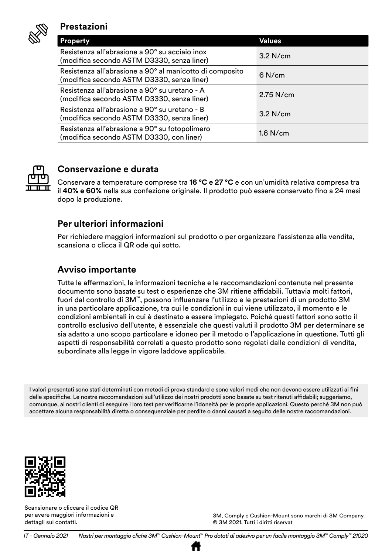

#### **Prestazioni**

| <b>Property</b>                                                                                        | Values     |
|--------------------------------------------------------------------------------------------------------|------------|
| Resistenza all'abrasione a 90° su acciaio inox<br>(modifica secondo ASTM D3330, senza liner)           | 3.2 N/cm   |
| Resistenza all'abrasione a 90° al manicotto di composito<br>(modifica secondo ASTM D3330, senza liner) | 6 N/cm     |
| Resistenza all'abrasione a 90° su uretano - A<br>(modifica secondo ASTM D3330, senza liner)            | 2.75 N/cm  |
| Resistenza all'abrasione a 90° su uretano - B<br>(modifica secondo ASTM D3330, senza liner)            | 3.2 N/cm   |
| Resistenza all'abrasione a 90° su fotopolimero<br>(modifica secondo ASTM D3330, con liner)             | $1.6$ N/cm |



# **Conservazione e durata**

Conservare a temperature comprese tra **16 °C e 27 °C** e con un'umidità relativa compresa tra il **40% e 60%** nella sua confezione originale. Il prodotto può essere conservato fino a 24 mesi dopo la produzione.

#### **Per ulteriori informazioni**

Per richiedere maggiori informazioni sul prodotto o per organizzare l'assistenza alla vendita, scansiona o clicca il QR ode qui sotto.

#### **Avviso importante**

Tutte le affermazioni, le informazioni tecniche e le raccomandazioni contenute nel presente documento sono basate su test o esperienze che 3M ritiene affidabili. Tuttavia molti fattori, fuori dal controllo di 3M™, possono influenzare l'utilizzo e le prestazioni di un prodotto 3M in una particolare applicazione, tra cui le condizioni in cui viene utilizzato, il momento e le condizioni ambientali in cui è destinato a essere impiegato. Poiché questi fattori sono sotto il controllo esclusivo dell'utente, è essenziale che questi valuti il prodotto 3M per determinare se sia adatto a uno scopo particolare e idoneo per il metodo o l'applicazione in questione. Tutti gli aspetti di responsabilità correlati a questo prodotto sono regolati dalle condizioni di vendita, subordinate alla legge in vigore laddove applicabile.

I valori presentati sono stati determinati con metodi di prova standard e sono valori medi che non devono essere utilizzati ai fini delle specifiche. Le nostre raccomandazioni sull'utilizzo dei nostri prodotti sono basate su test ritenuti affidabili; suggeriamo, comunque, ai nostri clienti di eseguire i loro test per verificarne l'idoneità per le proprie applicazioni. Questo perché 3M non può accettare alcuna responsabilità diretta o consequenziale per perdite o danni causati a seguito delle nostre raccomandazioni.



Scansionare o cliccare il codice QR per avere maggiori informazioni e dettagli sui contatti.

3M, Comply e Cushion-Mount sono marchi di 3M Company. © 3M 2021. Tutti i diritti riservat

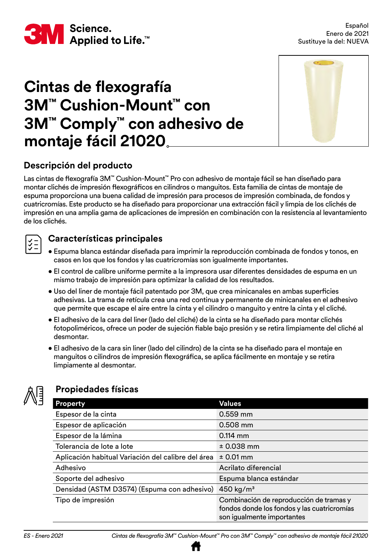

# **Cintas de flexografía 3M™ Cushion-Mount™ con 3M™ Comply™ con adhesivo de montaje fácil 21020**



# **Descripción del producto**

Las cintas de flexografía 3M™ Cushion-Mount™ Pro con adhesivo de montaje fácil se han diseñado para montar clichés de impresión flexográficos en cilindros o manguitos. Esta familia de cintas de montaje de espuma proporciona una buena calidad de impresión para procesos de impresión combinada, de fondos y cuatricromías. Este producto se ha diseñado para proporcionar una extracción fácil y limpia de los clichés de impresión en una amplia gama de aplicaciones de impresión en combinación con la resistencia al levantamiento de los clichés.

### **Características principales**

- Espuma blanca estándar diseñada para imprimir la reproducción combinada de fondos y tonos, en casos en los que los fondos y las cuatricromías son igualmente importantes.
- El control de calibre uniforme permite a la impresora usar diferentes densidades de espuma en un mismo trabajo de impresión para optimizar la calidad de los resultados.
- Uso del liner de montaje fácil patentado por 3M, que crea minicanales en ambas superficies adhesivas. La trama de retícula crea una red continua y permanente de minicanales en el adhesivo que permite que escape el aire entre la cinta y el cilindro o manguito y entre la cinta y el cliché.
- El adhesivo de la cara del liner (lado del cliché) de la cinta se ha diseñado para montar clichés fotopoliméricos, ofrece un poder de sujeción fiable bajo presión y se retira limpiamente del cliché al desmontar.
- El adhesivo de la cara sin liner (lado del cilindro) de la cinta se ha diseñado para el montaje en manguitos o cilindros de impresión flexográfica, se aplica fácilmente en montaje y se retira limpiamente al desmontar.



# **Propiedades físicas**

| <b>Property</b>                                    | <b>Values</b>                                                                                                        |
|----------------------------------------------------|----------------------------------------------------------------------------------------------------------------------|
| Espesor de la cinta                                | $0.559$ mm                                                                                                           |
| Espesor de aplicación                              | $0.508$ mm                                                                                                           |
| Espesor de la lámina                               | $0.114$ mm                                                                                                           |
| Tolerancia de lote a lote                          | $± 0.038$ mm                                                                                                         |
| Aplicación habitual Variación del calibre del área | $± 0.01$ mm                                                                                                          |
| Adhesivo                                           | Acrilato diferencial                                                                                                 |
| Soporte del adhesivo                               | Espuma blanca estándar                                                                                               |
| Densidad (ASTM D3574) (Espuma con adhesivo)        | 450 kg/m <sup>3</sup>                                                                                                |
| Tipo de impresión                                  | Combinación de reproducción de tramas y<br>fondos donde los fondos y las cuatricromías<br>son igualmente importantes |

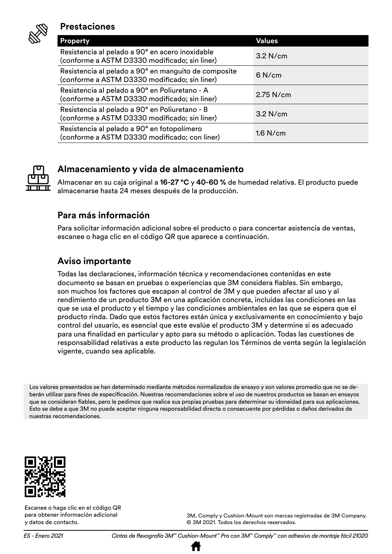

#### **Prestaciones**

| <b>Property</b>                                                                                       | Values     |
|-------------------------------------------------------------------------------------------------------|------------|
| Resistencia al pelado a 90° en acero inoxidable<br>(conforme a ASTM D3330 modificado; sin liner)      | 3.2 N/cm   |
| Resistencia al pelado a 90° en manguito de composite<br>(conforme a ASTM D3330 modificado; sin liner) | 6 N/cm     |
| Resistencia al pelado a 90° en Poliuretano - A<br>(conforme a ASTM D3330 modificado; sin liner)       | 2.75 N/cm  |
| Resistencia al pelado a 90° en Poliuretano - B<br>(conforme a ASTM D3330 modificado; sin liner)       | 3.2 N/cm   |
| Resistencia al pelado a 90° en fotopolímero<br>(conforme a ASTM D3330 modificado; con liner)          | $1.6$ N/cm |



# **Almacenamiento y vida de almacenamiento**

Almacenar en su caja original a **16-27 °C** y **40-60 %** de humedad relativa. El producto puede almacenarse hasta 24 meses después de la producción.

#### **Para más información**

Para solicitar información adicional sobre el producto o para concertar asistencia de ventas, escanee o haga clic en el código QR que aparece a continuación.

# **Aviso importante**

Todas las declaraciones, información técnica y recomendaciones contenidas en este documento se basan en pruebas o experiencias que 3M considera fiables. Sin embargo, son muchos los factores que escapan al control de 3M y que pueden afectar al uso y al rendimiento de un producto 3M en una aplicación concreta, incluidas las condiciones en las que se usa el producto y el tiempo y las condiciones ambientales en las que se espera que el producto rinda. Dado que estos factores están única y exclusivamente en conocimiento y bajo control del usuario, es esencial que este evalúe el producto 3M y determine si es adecuado para una finalidad en particular y apto para su método o aplicación. Todas las cuestiones de responsabilidad relativas a este producto las regulan los Términos de venta según la legislación vigente, cuando sea aplicable.

Los valores presentados se han determinado mediante métodos normalizados de ensayo y son valores promedio que no se deberán utilizar para fines de especificación. Nuestras recomendaciones sobre el uso de nuestros productos se basan en ensayos que se consideran fiables, pero le pedimos que realice sus propias pruebas para determinar su idoneidad para sus aplicaciones. Esto se debe a que 3M no puede aceptar ninguna responsabilidad directa o consecuente por pérdidas o daños derivados de nuestras recomendaciones.



Escanee o haga clic en el código QR para obtener información adicional y datos de contacto.

3M, Comply y Cushion-Mount son marcas registradas de 3M Company. © 3M 2021. Todos los derechos reservados.

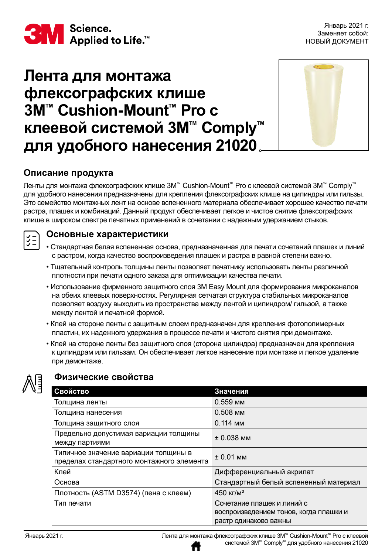

# **Лента для монтажа флексографских клише 3M™ Cushion-Mount™ Pro с клеевой системой 3M™ Comply™ для удобного нанесения 21020**



# **Описание продукта**

Ленты для монтажа флексографских клише 3M™ Cushion-Mount™ Pro с клеевой системой 3M™ Comply™ для удобного нанесения предназначены для крепления флексографских клише на цилиндры или гильзы. Это семейство монтажных лент на основе вспененного материала обеспечивает хорошее качество печати растра, плашек и комбинаций. Данный продукт обеспечивает легкое и чистое снятие флексографских клише в широком спектре печатных применений в сочетании с надежным удержанием стыков.

#### **Основные характеристики**

- Стандартная белая вспененная основа, предназначенная для печати сочетаний плашек и линий с растром, когда качество воспроизведения плашек и растра в равной степени важно.
- Тщательный контроль толщины ленты позволяет печатнику использовать ленты различной плотности при печати одного заказа для оптимизации качества печати.
- Использование фирменного защитного слоя 3M Easy Mount для формирования микроканалов на обеих клеевых поверхностях. Регулярная сетчатая структура стабильных микроканалов позволяет воздуху выходить из пространства между лентой и цилиндром/ гильзой, а также между лентой и печатной формой.
- Клей на стороне ленты с защитным слоем предназначен для крепления фотополимерных пластин, их надежного удержания в процессе печати и чистого снятия при демонтаже.
- Клей на стороне ленты без защитного слоя (сторона цилиндра) предназначен для крепления к цилиндрам или гильзам. Он обеспечивает легкое нанесение при монтаже и легкое удаление при демонтаже.



 $\frac{3}{2}$ 

#### **Физические свойства**

| Свойство                                                                          | Значения                               |
|-----------------------------------------------------------------------------------|----------------------------------------|
| Толщина ленты                                                                     | 0.559 мм                               |
| Толщина нанесения                                                                 | 0.508 мм                               |
| Толщина защитного слоя                                                            | $0.114$ MM                             |
| Предельно допустимая вариации толщины<br>между партиями                           | $\pm$ 0.038 мм                         |
| Типичное значение вариации толщины в<br>пределах стандартного монтажного элемента | $\pm 0.01$ MM                          |
| Клей                                                                              | Дифференциальный акрилат               |
| Основа                                                                            | Стандартный белый вспененный материал  |
| Плотность (ASTM D3574) (пена с клеем)                                             | 450 кг/м <sup>3</sup>                  |
| Тип печати                                                                        | Сочетание плашек и линий с             |
|                                                                                   | воспроизведением тонов, когда плашки и |
|                                                                                   | растр одинаково важны                  |